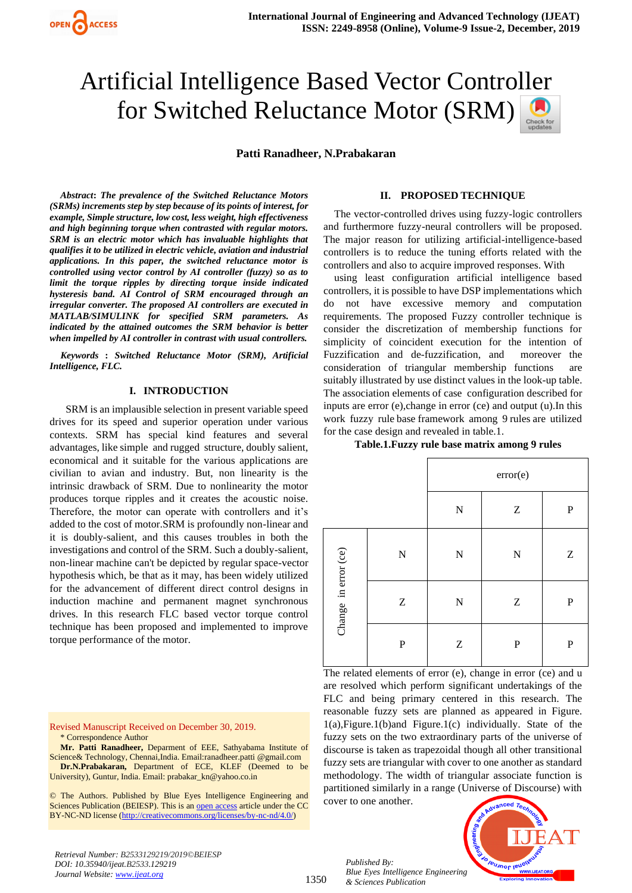# Artificial Intelligence Based Vector Controller for Switched Reluctance Motor (SRM)

**Patti Ranadheer, N.Prabakaran**

*Abstract***:** *The prevalence of the Switched Reluctance Motors (SRMs) increments step by step because of its points of interest, for example, Simple structure, low cost, less weight, high effectiveness and high beginning torque when contrasted with regular motors. SRM is an electric motor which has invaluable highlights that qualifies it to be utilized in electric vehicle, aviation and industrial applications. In this paper, the switched reluctance motor is controlled using vector control by AI controller (fuzzy) so as to limit the torque ripples by directing torque inside indicated hysteresis band. AI Control of SRM encouraged through an irregular converter. The proposed AI controllers are executed in MATLAB/SIMULINK for specified SRM parameters. As indicated by the attained outcomes the SRM behavior is better when impelled by AI controller in contrast with usual controllers.*

*Keywords* **:** *Switched Reluctance Motor (SRM), Artificial Intelligence, FLC.* 

### **I. INTRODUCTION**

 SRM is an implausible selection in present variable speed drives for its speed and superior operation under various contexts. SRM has special kind features and several advantages, like simple and rugged structure, doubly salient, economical and it suitable for the various applications are civilian to avian and industry. But, non linearity is the intrinsic drawback of SRM. Due to nonlinearity the motor produces torque ripples and it creates the acoustic noise. Therefore, the motor can operate with controllers and it's added to the cost of motor.SRM is profoundly non-linear and it is doubly-salient, and this causes troubles in both the investigations and control of the SRM. Such a doubly-salient, non-linear machine can't be depicted by regular space-vector hypothesis which, be that as it may, has been widely utilized for the advancement of different direct control designs in induction machine and permanent magnet synchronous drives. In this research FLC based vector torque control technique has been proposed and implemented to improve torque performance of the motor.

Revised Manuscript Received on December 30, 2019. \* Correspondence Author

**Mr. Patti Ranadheer,** Deparment of EEE, Sathyabama Institute of Science& Technology, Chennai,India. Email:ranadheer.patti @gmail.com **Dr.N.Prabakaran,** Department of ECE, KLEF (Deemed to be University), Guntur, India. Email[: prabakar\\_kn@yahoo.co.in](mailto:prabakar_kn@yahoo.co.in)

© The Authors. Published by Blue Eyes Intelligence Engineering and Sciences Publication (BEIESP). This is a[n open access](https://www.openaccess.nl/en/open-publications) article under the CC BY-NC-ND license [\(http://creativecommons.org/licenses/by-nc-nd/4.0/\)](http://creativecommons.org/licenses/by-nc-nd/4.0/)

**II. PROPOSED TECHNIQUE**

The vector-controlled drives using fuzzy-logic controllers and furthermore fuzzy-neural controllers will be proposed. The major reason for utilizing artificial-intelligence-based controllers is to reduce the tuning efforts related with the controllers and also to acquire improved responses. With

using least configuration artificial intelligence based controllers, it is possible to have DSP implementations which do not have excessive memory and computation requirements. The proposed Fuzzy controller technique is consider the discretization of membership functions for simplicity of coincident execution for the intention of Fuzzification and de-fuzzification, and moreover the consideration of triangular membership functions are suitably illustrated by use distinct values in the look-up table. The association elements of case configuration described for inputs are error (e),change in error (ce) and output (u).In this work fuzzy rule base framework among 9 rules are utilized for the case design and revealed in table.1.

#### **Table.1.Fuzzy rule base matrix among 9 rules**

|                      |                               | error(e)                      |                           |                           |
|----------------------|-------------------------------|-------------------------------|---------------------------|---------------------------|
|                      |                               | $\mathbf N$                   | $\ensuremath{\mathbf{Z}}$ | ${\bf P}$                 |
| Change in error (ce) | $\mathbf N$                   | $\mathbf N$                   | $\overline{\bf N}$        | $\ensuremath{\mathbf{Z}}$ |
|                      | $\ensuremath{\textnormal{Z}}$ | $\mathbf N$                   | $\ensuremath{\mathbf{Z}}$ | ${\bf P}$                 |
|                      | $\mathbf P$                   | $\ensuremath{\textnormal{Z}}$ | ${\bf P}$                 | ${\bf P}$                 |

The related elements of error (e), change in error (ce) and u are resolved which perform significant undertakings of the FLC and being primary centered in this research. The reasonable fuzzy sets are planned as appeared in Figure. 1(a),Figure.1(b)and Figure.1(c) individually. State of the fuzzy sets on the two extraordinary parts of the universe of discourse is taken as trapezoidal though all other transitional fuzzy sets are triangular with cover to one another as standard methodology. The width of triangular associate function is partitioned similarly in a range (Universe of Discourse) with cover to one another.

*Published By: Blue Eyes Intelligence Engineering & Sciences Publication* 



*Retrieval Number: B2533129219/2019©BEIESP DOI: 10.35940/ijeat.B2533.129219 Journal Website[: www.ijeat.org](http://www.ijeat.org/)*

1350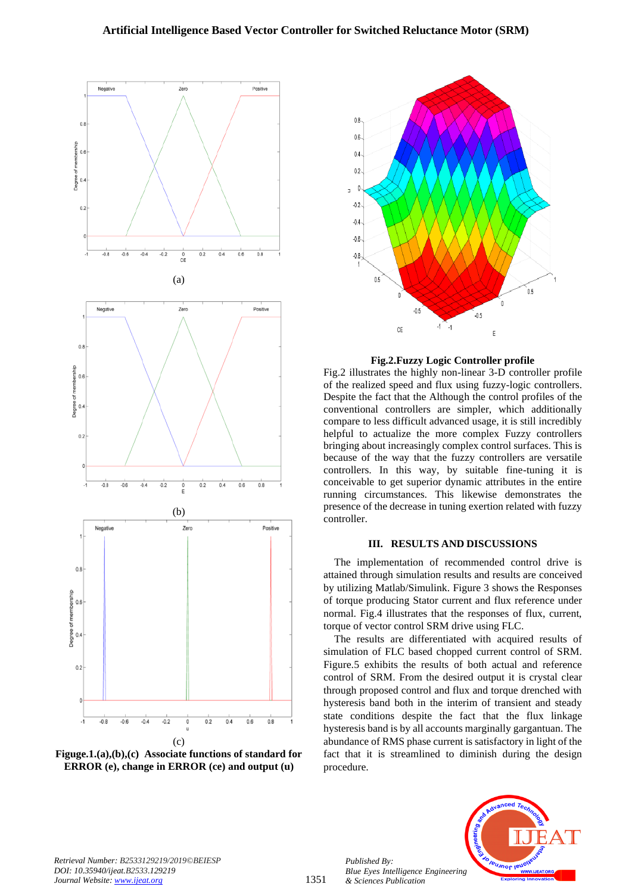# **Artificial Intelligence Based Vector Controller for Switched Reluctance Motor (SRM)**



**Figuge.1.(a),(b),(c) Associate functions of standard for ERROR (e), change in ERROR (ce) and output (u)**



**Fig.2.Fuzzy Logic Controller profile**

Fig.2 illustrates the highly non-linear 3-D controller profile of the realized speed and flux using fuzzy-logic controllers. Despite the fact that the Although the control profiles of the conventional controllers are simpler, which additionally compare to less difficult advanced usage, it is still incredibly helpful to actualize the more complex Fuzzy controllers bringing about increasingly complex control surfaces. This is because of the way that the fuzzy controllers are versatile controllers. In this way, by suitable fine-tuning it is conceivable to get superior dynamic attributes in the entire running circumstances. This likewise demonstrates the presence of the decrease in tuning exertion related with fuzzy controller.

## **III. RESULTS AND DISCUSSIONS**

The implementation of recommended control drive is attained through simulation results and results are conceived by utilizing Matlab/Simulink. Figure 3 shows the Responses of torque producing Stator current and flux reference under normal. Fig.4 illustrates that the responses of flux, current, torque of vector control SRM drive using FLC.

The results are differentiated with acquired results of simulation of FLC based chopped current control of SRM. Figure.5 exhibits the results of both actual and reference control of SRM. From the desired output it is crystal clear through proposed control and flux and torque drenched with hysteresis band both in the interim of transient and steady state conditions despite the fact that the flux linkage hysteresis band is by all accounts marginally gargantuan. The abundance of RMS phase current is satisfactory in light of the fact that it is streamlined to diminish during the design procedure.



*Published By:*

*& Sciences Publication* 

**IBUJNOF IS** *Blue Eyes Intelligence Engineering*